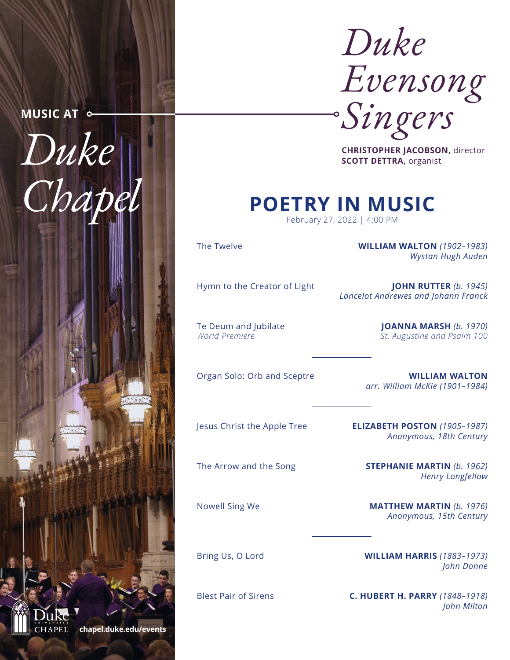*Duke Evensong Singers*

**CHRISTOPHER JACOBSON,** director **SCOTT DETTRA,** organist

**POETRY IN MUSIC**

February 27, 2022 | 4:00 PM

The Twelve **WILLIAM WALTON** *(1902–1983) Wystan Hugh Auden*

Hymn to the Creator of Light **JOHN RUTTER** *(b. 1945) Lancelot Andrewes and Johann Franck*

Te Deum and Jubilate **JOANNA MARSH** *(b. 1970) World Premiere St. Augustine and Psalm 100*

Organ Solo: Orb and Sceptre **WILLIAM WALTON**

*arr. William McKie (1901–1984)*

Jesus Christ the Apple Tree **ELIZABETH POSTON** *(1905–1987) Anonymous, 18th Century*

The Arrow and the Song **STEPHANIE MARTIN** *(b. 1962) Henry Longfellow*

Nowell Sing We **MATTHEW MARTIN** *(b. 1976) Anonymous, 15th Century*

Bring Us, O Lord **WILLIAM HARRIS** *(1883–1973) John Donne*

Blest Pair of Sirens **C. HUBERT H. PARRY** *(1848–1918) John Milton*

**MUSIC AT**



**chapel.duke.edu/events**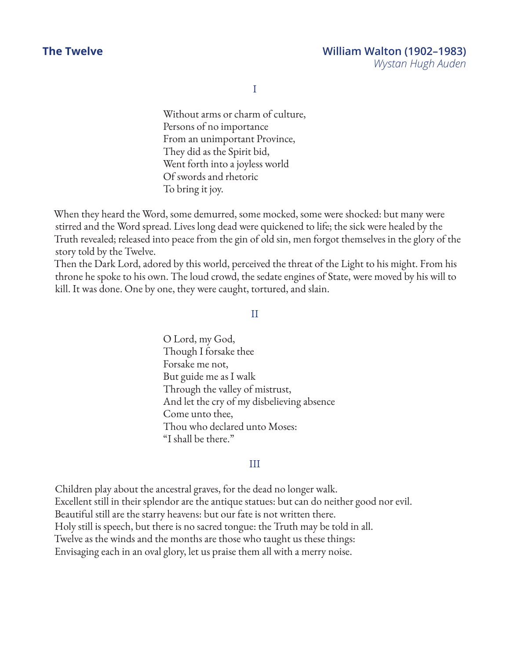I

 Without arms or charm of culture, Persons of no importance From an unimportant Province, They did as the Spirit bid, Went forth into a joyless world Of swords and rhetoric To bring it joy.

When they heard the Word, some demurred, some mocked, some were shocked: but many were stirred and the Word spread. Lives long dead were quickened to life; the sick were healed by the Truth revealed; released into peace from the gin of old sin, men forgot themselves in the glory of the story told by the Twelve.

Then the Dark Lord, adored by this world, perceived the threat of the Light to his might. From his throne he spoke to his own. The loud crowd, the sedate engines of State, were moved by his will to kill. It was done. One by one, they were caught, tortured, and slain.

### II

 O Lord, my God, Though I forsake thee Forsake me not, But guide me as I walk Through the valley of mistrust, And let the cry of my disbelieving absence Come unto thee, Thou who declared unto Moses: "I shall be there."

### III

Children play about the ancestral graves, for the dead no longer walk. Excellent still in their splendor are the antique statues: but can do neither good nor evil. Beautiful still are the starry heavens: but our fate is not written there. Holy still is speech, but there is no sacred tongue: the Truth may be told in all. Twelve as the winds and the months are those who taught us these things: Envisaging each in an oval glory, let us praise them all with a merry noise.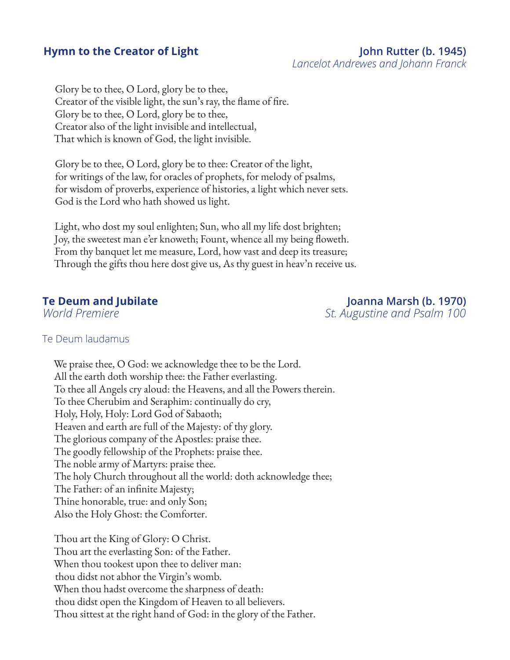## **Hymn to the Creator of Light John Rutter (b. 1945)** *Lancelot Andrewes and Johann Franck*

Glory be to thee, O Lord, glory be to thee, Creator of the visible light, the sun's ray, the flame of fire. Glory be to thee, O Lord, glory be to thee, Creator also of the light invisible and intellectual, That which is known of God, the light invisible.

Glory be to thee, O Lord, glory be to thee: Creator of the light, for writings of the law, for oracles of prophets, for melody of psalms, for wisdom of proverbs, experience of histories, a light which never sets. God is the Lord who hath showed us light.

Light, who dost my soul enlighten; Sun, who all my life dost brighten; Joy, the sweetest man e'er knoweth; Fount, whence all my being floweth. From thy banquet let me measure, Lord, how vast and deep its treasure; Through the gifts thou here dost give us, As thy guest in heav'n receive us.

**Te Deum and Jubilate Joanna Marsh (b. 1970)** *World Premiere St. Augustine and Psalm 100*

### Te Deum laudamus

We praise thee, O God: we acknowledge thee to be the Lord. All the earth doth worship thee: the Father everlasting. To thee all Angels cry aloud: the Heavens, and all the Powers therein. To thee Cherubim and Seraphim: continually do cry, Holy, Holy, Holy: Lord God of Sabaoth; Heaven and earth are full of the Majesty: of thy glory. The glorious company of the Apostles: praise thee. The goodly fellowship of the Prophets: praise thee. The noble army of Martyrs: praise thee. The holy Church throughout all the world: doth acknowledge thee; The Father: of an infinite Majesty; Thine honorable, true: and only Son; Also the Holy Ghost: the Comforter.

Thou art the King of Glory: O Christ. Thou art the everlasting Son: of the Father. When thou tookest upon thee to deliver man: thou didst not abhor the Virgin's womb. When thou hadst overcome the sharpness of death: thou didst open the Kingdom of Heaven to all believers. Thou sittest at the right hand of God: in the glory of the Father.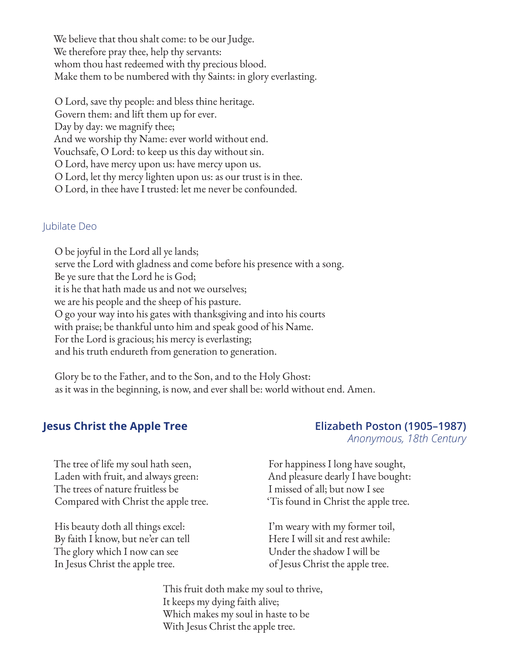We believe that thou shalt come: to be our Judge. We therefore pray thee, help thy servants: whom thou hast redeemed with thy precious blood. Make them to be numbered with thy Saints: in glory everlasting.

O Lord, save thy people: and bless thine heritage. Govern them: and lift them up for ever. Day by day: we magnify thee; And we worship thy Name: ever world without end. Vouchsafe, O Lord: to keep us this day without sin. O Lord, have mercy upon us: have mercy upon us. O Lord, let thy mercy lighten upon us: as our trust is in thee. O Lord, in thee have I trusted: let me never be confounded.

## Jubilate Deo

O be joyful in the Lord all ye lands; serve the Lord with gladness and come before his presence with a song. Be ye sure that the Lord he is God; it is he that hath made us and not we ourselves; we are his people and the sheep of his pasture. O go your way into his gates with thanksgiving and into his courts with praise; be thankful unto him and speak good of his Name. For the Lord is gracious; his mercy is everlasting; and his truth endureth from generation to generation.

Glory be to the Father, and to the Son, and to the Holy Ghost: as it was in the beginning, is now, and ever shall be: world without end. Amen.

The tree of life my soul hath seen, Laden with fruit, and always green: The trees of nature fruitless be Compared with Christ the apple tree.

His beauty doth all things excel: By faith I know, but ne'er can tell The glory which I now can see In Jesus Christ the apple tree.

# **Jesus Christ the Apple Tree Elizabeth Poston (1905–1987)**

*Anonymous, 18th Century*

For happiness I long have sought, And pleasure dearly I have bought: I missed of all; but now I see 'Tis found in Christ the apple tree.

I'm weary with my former toil, Here I will sit and rest awhile: Under the shadow I will be of Jesus Christ the apple tree.

 This fruit doth make my soul to thrive, It keeps my dying faith alive; Which makes my soul in haste to be With Jesus Christ the apple tree.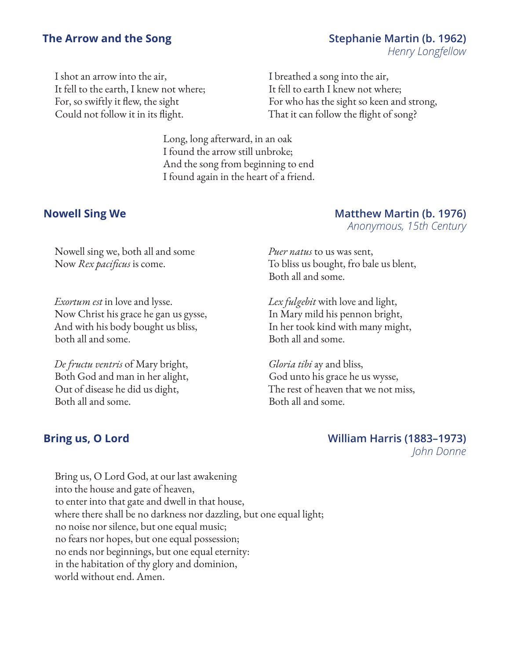### **The Arrow and the Song The Arrow and the Song The Arrow Arrow Stephanie Martin (b. 1962)** *Henry Longfellow*

I shot an arrow into the air, It fell to the earth, I knew not where; For, so swiftly it flew, the sight Could not follow it in its flight.

I breathed a song into the air, It fell to earth I knew not where; For who has the sight so keen and strong, That it can follow the flight of song?

 Long, long afterward, in an oak I found the arrow still unbroke; And the song from beginning to end I found again in the heart of a friend.

# **Nowell Sing We Matthew Martin (b. 1976)**

*Anonymous, 15th Century*

Nowell sing we, both all and some Now *Rex pacificus* is come.

*Exortum est* in love and lysse. Now Christ his grace he gan us gysse, And with his body bought us bliss, both all and some.

*De fructu ventris* of Mary bright, Both God and man in her alight, Out of disease he did us dight, Both all and some.

*Puer natus* to us was sent, To bliss us bought, fro bale us blent, Both all and some.

*Lex fulgebit* with love and light, In Mary mild his pennon bright, In her took kind with many might, Both all and some.

*Gloria tibi* ay and bliss, God unto his grace he us wysse, The rest of heaven that we not miss, Both all and some.

# **Bring us, O Lord William Harris (1883–1973)**

*John Donne*

Bring us, O Lord God, at our last awakening into the house and gate of heaven, to enter into that gate and dwell in that house, where there shall be no darkness nor dazzling, but one equal light; no noise nor silence, but one equal music; no fears nor hopes, but one equal possession; no ends nor beginnings, but one equal eternity: in the habitation of thy glory and dominion, world without end. Amen.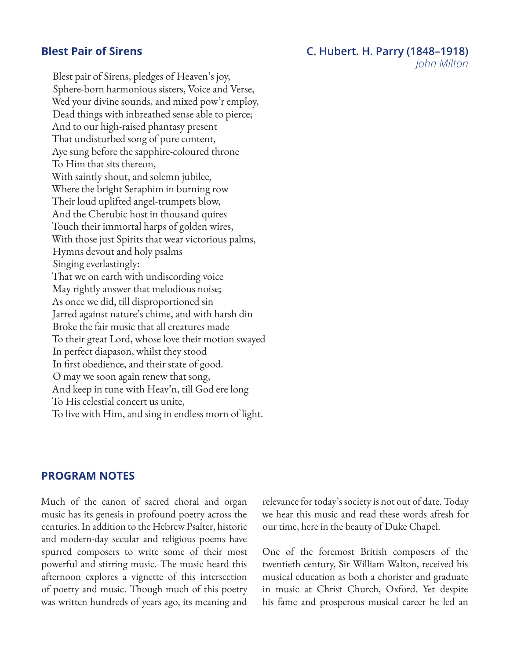Blest pair of Sirens, pledges of Heaven's joy, Sphere-born harmonious sisters, Voice and Verse, Wed your divine sounds, and mixed pow'r employ, Dead things with inbreathed sense able to pierce; And to our high-raised phantasy present That undisturbed song of pure content, Aye sung before the sapphire-coloured throne To Him that sits thereon, With saintly shout, and solemn jubilee, Where the bright Seraphim in burning row Their loud uplifted angel-trumpets blow, And the Cherubic host in thousand quires Touch their immortal harps of golden wires, With those just Spirits that wear victorious palms, Hymns devout and holy psalms Singing everlastingly: That we on earth with undiscording voice May rightly answer that melodious noise; As once we did, till disproportioned sin Jarred against nature's chime, and with harsh din Broke the fair music that all creatures made To their great Lord, whose love their motion swayed In perfect diapason, whilst they stood In first obedience, and their state of good. O may we soon again renew that song, And keep in tune with Heav'n, till God ere long To His celestial concert us unite, To live with Him, and sing in endless morn of light.

### **PROGRAM NOTES**

Much of the canon of sacred choral and organ music has its genesis in profound poetry across the centuries. In addition to the Hebrew Psalter, historic and modern-day secular and religious poems have spurred composers to write some of their most powerful and stirring music. The music heard this afternoon explores a vignette of this intersection of poetry and music. Though much of this poetry was written hundreds of years ago, its meaning and

relevance for today's society is not out of date. Today we hear this music and read these words afresh for our time, here in the beauty of Duke Chapel.

One of the foremost British composers of the twentieth century, Sir William Walton, received his musical education as both a chorister and graduate in music at Christ Church, Oxford. Yet despite his fame and prosperous musical career he led an

**Blest Pair of Sirens C. Hubert. H. Parry (1848–1918)**

*John Milton*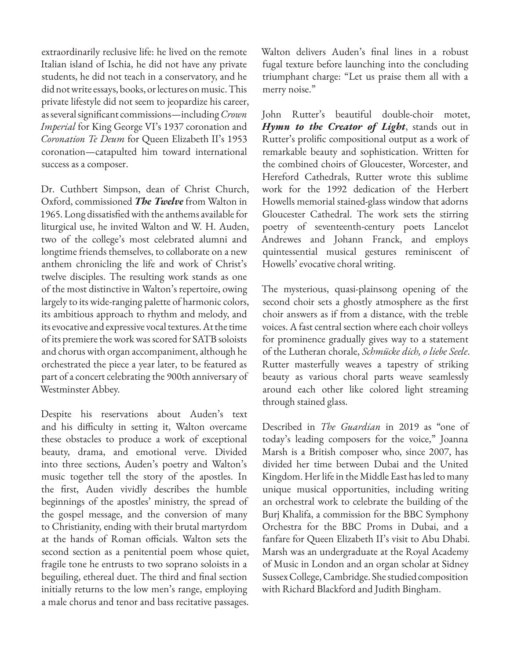extraordinarily reclusive life: he lived on the remote Italian island of Ischia, he did not have any private students, he did not teach in a conservatory, and he did not write essays, books, or lectures on music. This private lifestyle did not seem to jeopardize his career, as several significant commissions—including *Crown Imperial* for King George VI's 1937 coronation and *Coronation Te Deum* for Queen Elizabeth II's 1953 coronation—catapulted him toward international success as a composer.

Dr. Cuthbert Simpson, dean of Christ Church, Oxford, commissioned *The Twelve* from Walton in 1965. Long dissatisfied with the anthems available for liturgical use, he invited Walton and W. H. Auden, two of the college's most celebrated alumni and longtime friends themselves, to collaborate on a new anthem chronicling the life and work of Christ's twelve disciples. The resulting work stands as one of the most distinctive in Walton's repertoire, owing largely to its wide-ranging palette of harmonic colors, its ambitious approach to rhythm and melody, and its evocative and expressive vocal textures. At the time of its premiere the work was scored for SATB soloists and chorus with organ accompaniment, although he orchestrated the piece a year later, to be featured as part of a concert celebrating the 900th anniversary of Westminster Abbey.

Despite his reservations about Auden's text and his difficulty in setting it, Walton overcame these obstacles to produce a work of exceptional beauty, drama, and emotional verve. Divided into three sections, Auden's poetry and Walton's music together tell the story of the apostles. In the first, Auden vividly describes the humble beginnings of the apostles' ministry, the spread of the gospel message, and the conversion of many to Christianity, ending with their brutal martyrdom at the hands of Roman officials. Walton sets the second section as a penitential poem whose quiet, fragile tone he entrusts to two soprano soloists in a beguiling, ethereal duet. The third and final section initially returns to the low men's range, employing a male chorus and tenor and bass recitative passages.

Walton delivers Auden's final lines in a robust fugal texture before launching into the concluding triumphant charge: "Let us praise them all with a merry noise."

John Rutter's beautiful double-choir motet, *Hymn to the Creator of Light*, stands out in Rutter's prolific compositional output as a work of remarkable beauty and sophistication. Written for the combined choirs of Gloucester, Worcester, and Hereford Cathedrals, Rutter wrote this sublime work for the 1992 dedication of the Herbert Howells memorial stained-glass window that adorns Gloucester Cathedral. The work sets the stirring poetry of seventeenth-century poets Lancelot Andrewes and Johann Franck, and employs quintessential musical gestures reminiscent of Howells' evocative choral writing.

The mysterious, quasi-plainsong opening of the second choir sets a ghostly atmosphere as the first choir answers as if from a distance, with the treble voices. A fast central section where each choir volleys for prominence gradually gives way to a statement of the Lutheran chorale, *Schmücke dich, o liebe Seele*. Rutter masterfully weaves a tapestry of striking beauty as various choral parts weave seamlessly around each other like colored light streaming through stained glass.

Described in *The Guardian* in 2019 as "one of today's leading composers for the voice," Joanna Marsh is a British composer who, since 2007, has divided her time between Dubai and the United Kingdom. Her life in the Middle East has led to many unique musical opportunities, including writing an orchestral work to celebrate the building of the Burj Khalifa, a commission for the BBC Symphony Orchestra for the BBC Proms in Dubai, and a fanfare for Queen Elizabeth II's visit to Abu Dhabi. Marsh was an undergraduate at the Royal Academy of Music in London and an organ scholar at Sidney Sussex College, Cambridge. She studied composition with Richard Blackford and Judith Bingham.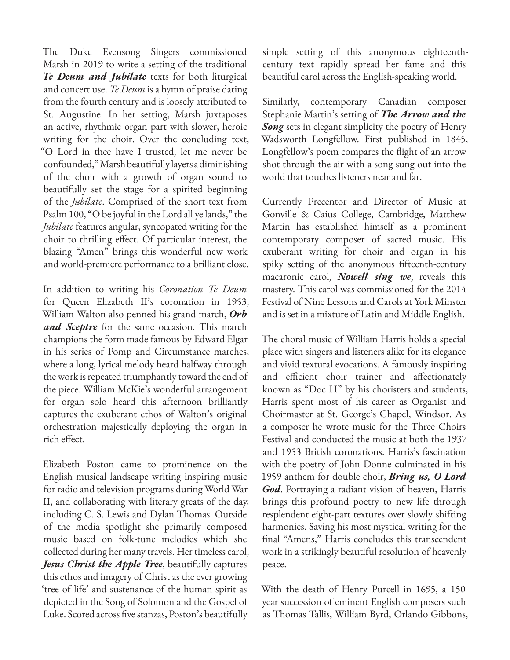The Duke Evensong Singers commissioned Marsh in 2019 to write a setting of the traditional *Te Deum and Jubilate* texts for both liturgical and concert use. *Te Deum* is a hymn of praise dating from the fourth century and is loosely attributed to St. Augustine. In her setting, Marsh juxtaposes an active, rhythmic organ part with slower, heroic writing for the choir. Over the concluding text, "O Lord in thee have I trusted, let me never be confounded," Marsh beautifully layers a diminishing of the choir with a growth of organ sound to beautifully set the stage for a spirited beginning of the *Jubilate*. Comprised of the short text from Psalm 100, "O be joyful in the Lord all ye lands," the *Jubilate* features angular, syncopated writing for the choir to thrilling effect. Of particular interest, the blazing "Amen" brings this wonderful new work and world-premiere performance to a brilliant close.

In addition to writing his *Coronation Te Deum*  for Queen Elizabeth II's coronation in 1953, William Walton also penned his grand march, *Orb and Sceptre* for the same occasion. This march champions the form made famous by Edward Elgar in his series of Pomp and Circumstance marches, where a long, lyrical melody heard halfway through the work is repeated triumphantly toward the end of the piece. William McKie's wonderful arrangement for organ solo heard this afternoon brilliantly captures the exuberant ethos of Walton's original orchestration majestically deploying the organ in rich effect.

Elizabeth Poston came to prominence on the English musical landscape writing inspiring music for radio and television programs during World War II, and collaborating with literary greats of the day, including C. S. Lewis and Dylan Thomas. Outside of the media spotlight she primarily composed music based on folk-tune melodies which she collected during her many travels. Her timeless carol, *Jesus Christ the Apple Tree*, beautifully captures this ethos and imagery of Christ as the ever growing 'tree of life' and sustenance of the human spirit as depicted in the Song of Solomon and the Gospel of Luke. Scored across five stanzas, Poston's beautifully

simple setting of this anonymous eighteenthcentury text rapidly spread her fame and this beautiful carol across the English-speaking world.

Similarly, contemporary Canadian composer Stephanie Martin's setting of *The Arrow and the Song* sets in elegant simplicity the poetry of Henry Wadsworth Longfellow. First published in 1845, Longfellow's poem compares the flight of an arrow shot through the air with a song sung out into the world that touches listeners near and far.

Currently Precentor and Director of Music at Gonville & Caius College, Cambridge, Matthew Martin has established himself as a prominent contemporary composer of sacred music. His exuberant writing for choir and organ in his spiky setting of the anonymous fifteenth-century macaronic carol, *Nowell sing we*, reveals this mastery. This carol was commissioned for the 2014 Festival of Nine Lessons and Carols at York Minster and is set in a mixture of Latin and Middle English.

The choral music of William Harris holds a special place with singers and listeners alike for its elegance and vivid textural evocations. A famously inspiring and efficient choir trainer and affectionately known as "Doc H" by his choristers and students, Harris spent most of his career as Organist and Choirmaster at St. George's Chapel, Windsor. As a composer he wrote music for the Three Choirs Festival and conducted the music at both the 1937 and 1953 British coronations. Harris's fascination with the poetry of John Donne culminated in his 1959 anthem for double choir, *Bring us, O Lord God*. Portraying a radiant vision of heaven, Harris brings this profound poetry to new life through resplendent eight-part textures over slowly shifting harmonies. Saving his most mystical writing for the final "Amens," Harris concludes this transcendent work in a strikingly beautiful resolution of heavenly peace.

With the death of Henry Purcell in 1695, a 150 year succession of eminent English composers such as Thomas Tallis, William Byrd, Orlando Gibbons,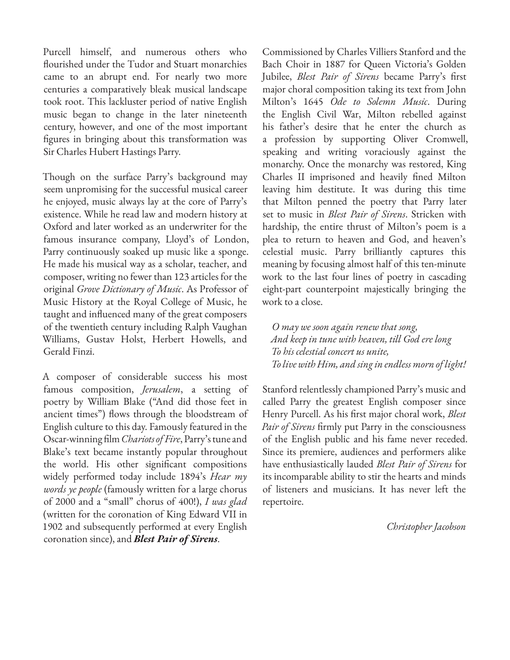Purcell himself, and numerous others who flourished under the Tudor and Stuart monarchies came to an abrupt end. For nearly two more centuries a comparatively bleak musical landscape took root. This lackluster period of native English music began to change in the later nineteenth century, however, and one of the most important figures in bringing about this transformation was Sir Charles Hubert Hastings Parry.

Though on the surface Parry's background may seem unpromising for the successful musical career he enjoyed, music always lay at the core of Parry's existence. While he read law and modern history at Oxford and later worked as an underwriter for the famous insurance company, Lloyd's of London, Parry continuously soaked up music like a sponge. He made his musical way as a scholar, teacher, and composer, writing no fewer than 123 articles for the original *Grove Dictionary of Music*. As Professor of Music History at the Royal College of Music, he taught and influenced many of the great composers of the twentieth century including Ralph Vaughan Williams, Gustav Holst, Herbert Howells, and Gerald Finzi.

A composer of considerable success his most famous composition, *Jerusalem*, a setting of poetry by William Blake ("And did those feet in ancient times") flows through the bloodstream of English culture to this day. Famously featured in the Oscar-winning film *Chariots of Fire*, Parry's tune and Blake's text became instantly popular throughout the world. His other significant compositions widely performed today include 1894's *Hear my words ye people* (famously written for a large chorus of 2000 and a "small" chorus of 400!), *I was glad*  (written for the coronation of King Edward VII in 1902 and subsequently performed at every English coronation since), and *Blest Pair of Sirens*.

Commissioned by Charles Villiers Stanford and the Bach Choir in 1887 for Queen Victoria's Golden Jubilee, *Blest Pair of Sirens* became Parry's first major choral composition taking its text from John Milton's 1645 *Ode to Solemn Music*. During the English Civil War, Milton rebelled against his father's desire that he enter the church as a profession by supporting Oliver Cromwell, speaking and writing voraciously against the monarchy. Once the monarchy was restored, King Charles II imprisoned and heavily fined Milton leaving him destitute. It was during this time that Milton penned the poetry that Parry later set to music in *Blest Pair of Sirens*. Stricken with hardship, the entire thrust of Milton's poem is a plea to return to heaven and God, and heaven's celestial music. Parry brilliantly captures this meaning by focusing almost half of this ten-minute work to the last four lines of poetry in cascading eight-part counterpoint majestically bringing the work to a close.

*O may we soon again renew that song, And keep in tune with heaven, till God ere long To his celestial concert us unite, To live with Him, and sing in endless morn of light!*

Stanford relentlessly championed Parry's music and called Parry the greatest English composer since Henry Purcell. As his first major choral work, *Blest Pair of Sirens* firmly put Parry in the consciousness of the English public and his fame never receded. Since its premiere, audiences and performers alike have enthusiastically lauded *Blest Pair of Sirens* for its incomparable ability to stir the hearts and minds of listeners and musicians. It has never left the repertoire.

*Christopher Jacobson*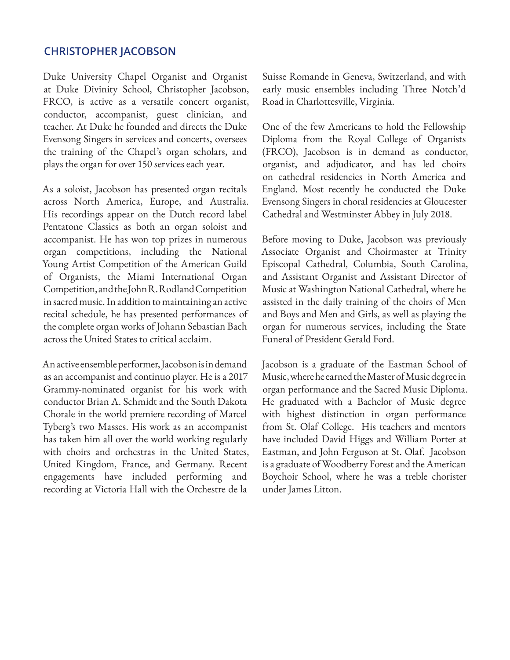# **CHRISTOPHER JACOBSON**

Duke University Chapel Organist and Organist at Duke Divinity School, Christopher Jacobson, FRCO, is active as a versatile concert organist, conductor, accompanist, guest clinician, and teacher. At Duke he founded and directs the Duke Evensong Singers in services and concerts, oversees the training of the Chapel's organ scholars, and plays the organ for over 150 services each year.

As a soloist, Jacobson has presented organ recitals across North America, Europe, and Australia. His recordings appear on the Dutch record label Pentatone Classics as both an organ soloist and accompanist. He has won top prizes in numerous organ competitions, including the National Young Artist Competition of the American Guild of Organists, the Miami International Organ Competition, and the John R. Rodland Competition in sacred music. In addition to maintaining an active recital schedule, he has presented performances of the complete organ works of Johann Sebastian Bach across the United States to critical acclaim.

An active ensemble performer, Jacobson is in demand as an accompanist and continuo player. He is a 2017 Grammy-nominated organist for his work with conductor Brian A. Schmidt and the South Dakota Chorale in the world premiere recording of Marcel Tyberg's two Masses. His work as an accompanist has taken him all over the world working regularly with choirs and orchestras in the United States, United Kingdom, France, and Germany. Recent engagements have included performing and recording at Victoria Hall with the Orchestre de la

Suisse Romande in Geneva, Switzerland, and with early music ensembles including Three Notch'd Road in Charlottesville, Virginia.

One of the few Americans to hold the Fellowship Diploma from the Royal College of Organists (FRCO), Jacobson is in demand as conductor, organist, and adjudicator, and has led choirs on cathedral residencies in North America and England. Most recently he conducted the Duke Evensong Singers in choral residencies at Gloucester Cathedral and Westminster Abbey in July 2018.

Before moving to Duke, Jacobson was previously Associate Organist and Choirmaster at Trinity Episcopal Cathedral, Columbia, South Carolina, and Assistant Organist and Assistant Director of Music at Washington National Cathedral, where he assisted in the daily training of the choirs of Men and Boys and Men and Girls, as well as playing the organ for numerous services, including the State Funeral of President Gerald Ford.

Jacobson is a graduate of the Eastman School of Music, where he earned the Master of Music degree in organ performance and the Sacred Music Diploma. He graduated with a Bachelor of Music degree with highest distinction in organ performance from St. Olaf College. His teachers and mentors have included David Higgs and William Porter at Eastman, and John Ferguson at St. Olaf. Jacobson is a graduate of Woodberry Forest and the American Boychoir School, where he was a treble chorister under James Litton.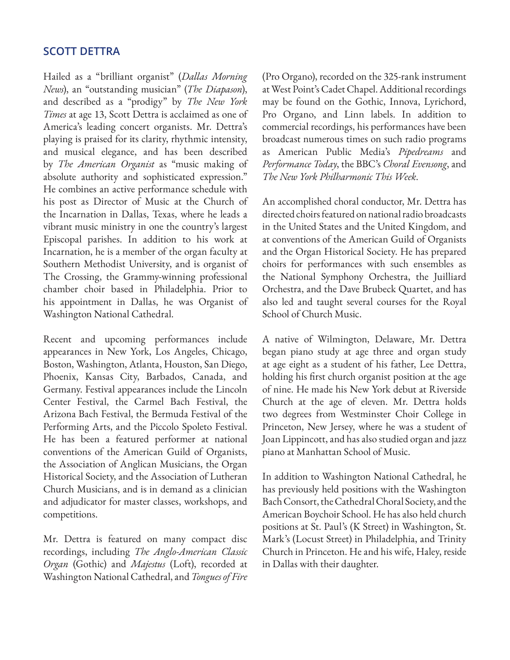# **SCOTT DETTRA**

Hailed as a "brilliant organist" (*Dallas Morning News*), an "outstanding musician" (*The Diapason*), and described as a "prodigy" by *The New York Times* at age 13, Scott Dettra is acclaimed as one of America's leading concert organists. Mr. Dettra's playing is praised for its clarity, rhythmic intensity, and musical elegance, and has been described by *The American Organist* as "music making of absolute authority and sophisticated expression." He combines an active performance schedule with his post as Director of Music at the Church of the Incarnation in Dallas, Texas, where he leads a vibrant music ministry in one the country's largest Episcopal parishes. In addition to his work at Incarnation, he is a member of the organ faculty at Southern Methodist University, and is organist of The Crossing, the Grammy-winning professional chamber choir based in Philadelphia. Prior to his appointment in Dallas, he was Organist of Washington National Cathedral.

Recent and upcoming performances include appearances in New York, Los Angeles, Chicago, Boston, Washington, Atlanta, Houston, San Diego, Phoenix, Kansas City, Barbados, Canada, and Germany. Festival appearances include the Lincoln Center Festival, the Carmel Bach Festival, the Arizona Bach Festival, the Bermuda Festival of the Performing Arts, and the Piccolo Spoleto Festival. He has been a featured performer at national conventions of the American Guild of Organists, the Association of Anglican Musicians, the Organ Historical Society, and the Association of Lutheran Church Musicians, and is in demand as a clinician and adjudicator for master classes, workshops, and competitions.

Mr. Dettra is featured on many compact disc recordings, including *The Anglo-American Classic Organ* (Gothic) and *Majestus* (Loft), recorded at Washington National Cathedral, and *Tongues of Fire* (Pro Organo), recorded on the 325-rank instrument at West Point's Cadet Chapel. Additional recordings may be found on the Gothic, Innova, Lyrichord, Pro Organo, and Linn labels. In addition to commercial recordings, his performances have been broadcast numerous times on such radio programs as American Public Media's *Pipedreams* and *Performance Today*, the BBC's *Choral Evensong*, and *The New York Philharmonic This Week*.

An accomplished choral conductor, Mr. Dettra has directed choirs featured on national radio broadcasts in the United States and the United Kingdom, and at conventions of the American Guild of Organists and the Organ Historical Society. He has prepared choirs for performances with such ensembles as the National Symphony Orchestra, the Juilliard Orchestra, and the Dave Brubeck Quartet, and has also led and taught several courses for the Royal School of Church Music.

A native of Wilmington, Delaware, Mr. Dettra began piano study at age three and organ study at age eight as a student of his father, Lee Dettra, holding his first church organist position at the age of nine. He made his New York debut at Riverside Church at the age of eleven. Mr. Dettra holds two degrees from Westminster Choir College in Princeton, New Jersey, where he was a student of Joan Lippincott, and has also studied organ and jazz piano at Manhattan School of Music.

In addition to Washington National Cathedral, he has previously held positions with the Washington Bach Consort, the Cathedral Choral Society, and the American Boychoir School. He has also held church positions at St. Paul's (K Street) in Washington, St. Mark's (Locust Street) in Philadelphia, and Trinity Church in Princeton. He and his wife, Haley, reside in Dallas with their daughter.